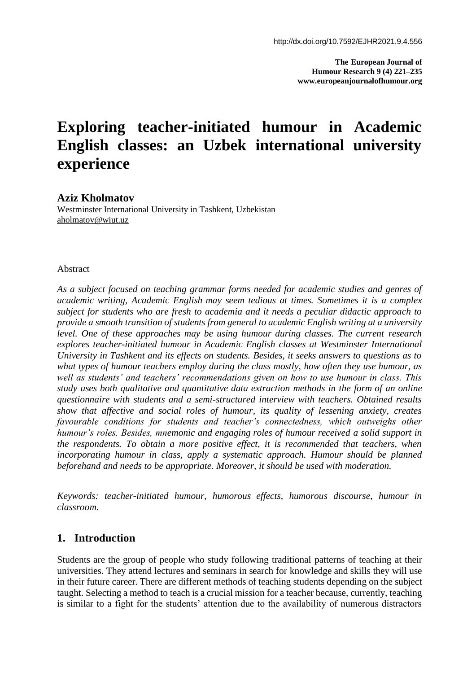**The European Journal of Humour Research 9 (4) 221–235 www.europeanjournalofhumour.org**

# **Exploring teacher-initiated humour in Academic English classes: an Uzbek international university experience**

#### **Aziz Kholmatov**

Westminster International University in Tashkent, Uzbekistan aholmatov@wiut.uz

#### Abstract

*As a subject focused on teaching grammar forms needed for academic studies and genres of academic writing, Academic English may seem tedious at times. Sometimes it is a complex subject for students who are fresh to academia and it needs a peculiar didactic approach to provide a smooth transition of students from general to academic English writing at a university level. One of these approaches may be using humour during classes. The current research explores teacher-initiated humour in Academic English classes at Westminster International University in Tashkent and its effects on students. Besides, it seeks answers to questions as to what types of humour teachers employ during the class mostly, how often they use humour, as well as students' and teachers' recommendations given on how to use humour in class. This study uses both qualitative and quantitative data extraction methods in the form of an online questionnaire with students and a semi-structured interview with teachers. Obtained results show that affective and social roles of humour, its quality of lessening anxiety, creates favourable conditions for students and teacher's connectedness, which outweighs other humour's roles. Besides, mnemonic and engaging roles of humour received a solid support in the respondents. To obtain a more positive effect, it is recommended that teachers, when incorporating humour in class, apply a systematic approach. Humour should be planned beforehand and needs to be appropriate. Moreover, it should be used with moderation.*

*Keywords: teacher-initiated humour, humorous effects, humorous discourse, humour in classroom.*

# **1. Introduction**

Students are the group of people who study following traditional patterns of teaching at their universities. They attend lectures and seminars in search for knowledge and skills they will use in their future career. There are different methods of teaching students depending on the subject taught. Selecting a method to teach is a crucial mission for a teacher because, currently, teaching is similar to a fight for the students' attention due to the availability of numerous distractors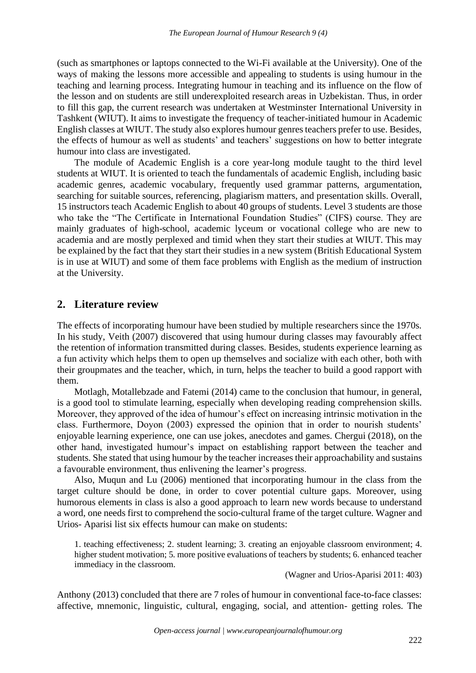(such as smartphones or laptops connected to the Wi-Fi available at the University). One of the ways of making the lessons more accessible and appealing to students is using humour in the teaching and learning process. Integrating humour in teaching and its influence on the flow of the lesson and on students are still underexploited research areas in Uzbekistan. Thus, in order to fill this gap, the current research was undertaken at Westminster International University in Tashkent (WIUT). It aims to investigate the frequency of teacher-initiated humour in Academic English classes at WIUT. The study also explores humour genres teachers prefer to use. Besides, the effects of humour as well as students' and teachers' suggestions on how to better integrate humour into class are investigated.

The module of Academic English is a core year-long module taught to the third level students at WIUT. It is oriented to teach the fundamentals of academic English, including basic academic genres, academic vocabulary, frequently used grammar patterns, argumentation, searching for suitable sources, referencing, plagiarism matters, and presentation skills. Overall, 15 instructors teach Academic English to about 40 groups of students. Level 3 students are those who take the "The Certificate in International Foundation Studies" (CIFS) course. They are mainly graduates of high-school, academic lyceum or vocational college who are new to academia and are mostly perplexed and timid when they start their studies at WIUT. This may be explained by the fact that they start their studies in a new system (British Educational System is in use at WIUT) and some of them face problems with English as the medium of instruction at the University.

## **2. Literature review**

The effects of incorporating humour have been studied by multiple researchers since the 1970s. In his study, Veith (2007) discovered that using humour during classes may favourably affect the retention of information transmitted during classes. Besides, students experience learning as a fun activity which helps them to open up themselves and socialize with each other, both with their groupmates and the teacher, which, in turn, helps the teacher to build a good rapport with them.

Motlagh, Motallebzade and Fatemi (2014) came to the conclusion that humour, in general, is a good tool to stimulate learning, especially when developing reading comprehension skills. Moreover, they approved of the idea of humour's effect on increasing intrinsic motivation in the class. Furthermore, Doyon (2003) expressed the opinion that in order to nourish students' enjoyable learning experience, one can use jokes, anecdotes and games. Chergui (2018), on the other hand, investigated humour's impact on establishing rapport between the teacher and students. She stated that using humour by the teacher increases their approachability and sustains a favourable environment, thus enlivening the learner's progress.

Also, Muqun and Lu (2006) mentioned that incorporating humour in the class from the target culture should be done, in order to cover potential culture gaps. Moreover, using humorous elements in class is also a good approach to learn new words because to understand a word, one needs first to comprehend the socio-cultural frame of the target culture. Wagner and Urios- Aparisi list six effects humour can make on students:

1. teaching effectiveness; 2. student learning; 3. creating an enjoyable classroom environment; 4. higher student motivation; 5. more positive evaluations of teachers by students; 6. enhanced teacher immediacy in the classroom.

(Wagner and Urios-Aparisi 2011: 403)

Anthony (2013) concluded that there are 7 roles of humour in conventional face-to-face classes: affective, mnemonic, linguistic, cultural, engaging, social, and attention- getting roles. The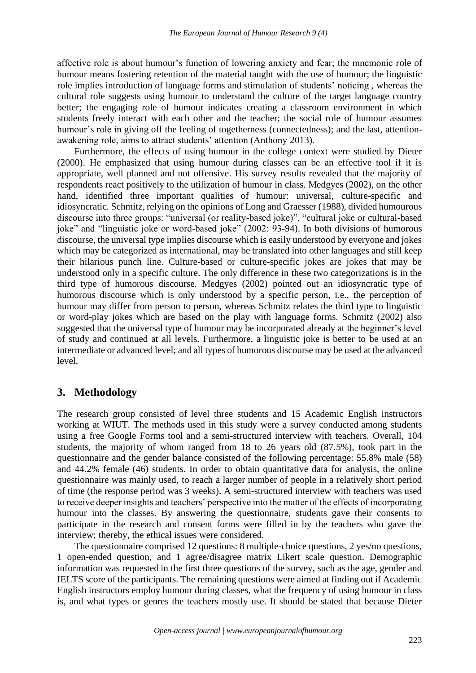affective role is about humour's function of lowering anxiety and fear; the mnemonic role of humour means fostering retention of the material taught with the use of humour; the linguistic role implies introduction of language forms and stimulation of students' noticing , whereas the cultural role suggests using humour to understand the culture of the target language country better; the engaging role of humour indicates creating a classroom environment in which students freely interact with each other and the teacher; the social role of humour assumes humour's role in giving off the feeling of togetherness (connectedness); and the last, attentionawakening role, aims to attract students' attention (Anthony 2013).

Furthermore, the effects of using humour in the college context were studied by Dieter (2000). He emphasized that using humour during classes can be an effective tool if it is appropriate, well planned and not offensive. His survey results revealed that the majority of respondents react positively to the utilization of humour in class. Medgyes (2002), on the other hand, identified three important qualities of humour: universal, culture-specific and idiosyncratic. Schmitz, relying on the opinions of Long and Graesser (1988), divided humourous discourse into three groups: "universal (or reality-based joke)", "cultural joke or cultural-based joke" and "linguistic joke or word-based joke" (2002: 93-94). In both divisions of humorous discourse, the universal type implies discourse which is easily understood by everyone and jokes which may be categorized as international, may be translated into other languages and still keep their hilarious punch line. Culture-based or culture-specific jokes are jokes that may be understood only in a specific culture. The only difference in these two categorizations is in the third type of humorous discourse. Medgyes (2002) pointed out an idiosyncratic type of humorous discourse which is only understood by a specific person, i.e., the perception of humour may differ from person to person, whereas Schmitz relates the third type to linguistic or word-play jokes which are based on the play with language forms. Schmitz (2002) also suggested that the universal type of humour may be incorporated already at the beginner's level of study and continued at all levels. Furthermore, a linguistic joke is better to be used at an intermediate or advanced level; and all types of humorous discourse may be used at the advanced level.

# **3. Methodology**

The research group consisted of level three students and 15 Academic English instructors working at WIUT. The methods used in this study were a survey conducted among students using a free Google Forms tool and a semi-structured interview with teachers. Overall, 104 students, the majority of whom ranged from 18 to 26 years old (87.5%), took part in the questionnaire and the gender balance consisted of the following percentage: 55.8% male (58) and 44.2% female (46) students. In order to obtain quantitative data for analysis, the online questionnaire was mainly used, to reach a larger number of people in a relatively short period of time (the response period was 3 weeks). A semi-structured interview with teachers was used to receive deeper insights and teachers' perspective into the matter of the effects of incorporating humour into the classes. By answering the questionnaire, students gave their consents to participate in the research and consent forms were filled in by the teachers who gave the interview; thereby, the ethical issues were considered.

The questionnaire comprised 12 questions: 8 multiple-choice questions, 2 yes/no questions, 1 open-ended question, and 1 agree/disagree matrix Likert scale question. Demographic information was requested in the first three questions of the survey, such as the age, gender and IELTS score of the participants. The remaining questions were aimed at finding out if Academic English instructors employ humour during classes, what the frequency of using humour in class is, and what types or genres the teachers mostly use. It should be stated that because Dieter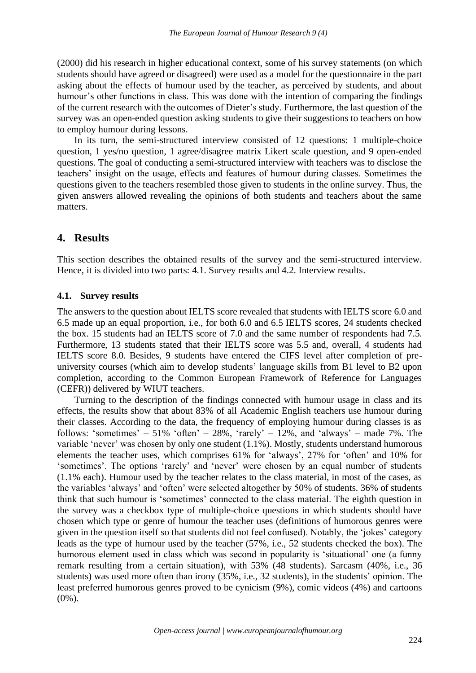(2000) did his research in higher educational context, some of his survey statements (on which students should have agreed or disagreed) were used as a model for the questionnaire in the part asking about the effects of humour used by the teacher, as perceived by students, and about humour's other functions in class. This was done with the intention of comparing the findings of the current research with the outcomes of Dieter's study. Furthermore, the last question of the survey was an open-ended question asking students to give their suggestions to teachers on how to employ humour during lessons.

In its turn, the semi-structured interview consisted of 12 questions: 1 multiple-choice question, 1 yes/no question, 1 agree/disagree matrix Likert scale question, and 9 open-ended questions. The goal of conducting a semi-structured interview with teachers was to disclose the teachers' insight on the usage, effects and features of humour during classes. Sometimes the questions given to the teachers resembled those given to students in the online survey. Thus, the given answers allowed revealing the opinions of both students and teachers about the same matters.

# **4. Results**

This section describes the obtained results of the survey and the semi-structured interview. Hence, it is divided into two parts: 4.1. Survey results and 4.2. Interview results.

## **4.1. Survey results**

The answers to the question about IELTS score revealed that students with IELTS score 6.0 and 6.5 made up an equal proportion, i.e., for both 6.0 and 6.5 IELTS scores, 24 students checked the box. 15 students had an IELTS score of 7.0 and the same number of respondents had 7.5. Furthermore, 13 students stated that their IELTS score was 5.5 and, overall, 4 students had IELTS score 8.0. Besides, 9 students have entered the CIFS level after completion of preuniversity courses (which aim to develop students' language skills from B1 level to B2 upon completion, according to the Common European Framework of Reference for Languages (CEFR)) delivered by WIUT teachers.

Turning to the description of the findings connected with humour usage in class and its effects, the results show that about 83% of all Academic English teachers use humour during their classes. According to the data, the frequency of employing humour during classes is as follows: 'sometimes' – 51% 'often' – 28%, 'rarely' – 12%, and 'always' – made 7%. The variable 'never' was chosen by only one student (1.1%). Mostly, students understand humorous elements the teacher uses, which comprises 61% for 'always', 27% for 'often' and 10% for 'sometimes'. The options 'rarely' and 'never' were chosen by an equal number of students (1.1% each). Humour used by the teacher relates to the class material, in most of the cases, as the variables 'always' and 'often' were selected altogether by 50% of students. 36% of students think that such humour is 'sometimes' connected to the class material. The eighth question in the survey was a checkbox type of multiple-choice questions in which students should have chosen which type or genre of humour the teacher uses (definitions of humorous genres were given in the question itself so that students did not feel confused). Notably, the 'jokes' category leads as the type of humour used by the teacher (57%, i.e., 52 students checked the box). The humorous element used in class which was second in popularity is 'situational' one (a funny remark resulting from a certain situation), with 53% (48 students). Sarcasm (40%, i.e., 36 students) was used more often than irony (35%, i.e., 32 students), in the students' opinion. The least preferred humorous genres proved to be cynicism (9%), comic videos (4%) and cartoons  $(0\%)$ .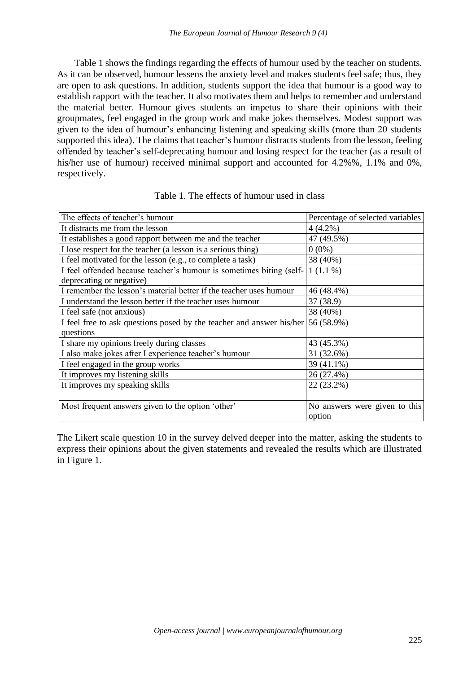Table 1 shows the findings regarding the effects of humour used by the teacher on students. As it can be observed, humour lessens the anxiety level and makes students feel safe; thus, they are open to ask questions. In addition, students support the idea that humour is a good way to establish rapport with the teacher. It also motivates them and helps to remember and understand the material better. Humour gives students an impetus to share their opinions with their groupmates, feel engaged in the group work and make jokes themselves. Modest support was given to the idea of humour's enhancing listening and speaking skills (more than 20 students supported this idea). The claims that teacher's humour distracts students from the lesson, feeling offended by teacher's self-deprecating humour and losing respect for the teacher (as a result of his/her use of humour) received minimal support and accounted for 4.2%%, 1.1% and 0%, respectively.

| The effects of teacher's humour                                                    | Percentage of selected variables |
|------------------------------------------------------------------------------------|----------------------------------|
| It distracts me from the lesson                                                    | $4(4.2\%)$                       |
| It establishes a good rapport between me and the teacher                           | 47 (49.5%)                       |
| I lose respect for the teacher (a lesson is a serious thing)                       | $0(0\%)$                         |
| I feel motivated for the lesson (e.g., to complete a task)                         | 38 (40%)                         |
| I feel offended because teacher's humour is sometimes biting (self-                | $1(1.1\%)$                       |
| deprecating or negative)                                                           |                                  |
| I remember the lesson's material better if the teacher uses humour                 | 46 (48.4%)                       |
| I understand the lesson better if the teacher uses humour                          | 37 (38.9)                        |
| I feel safe (not anxious)                                                          | 38 (40%)                         |
| I feel free to ask questions posed by the teacher and answer his/her $ 56 (58.9%)$ |                                  |
| questions                                                                          |                                  |
| I share my opinions freely during classes                                          | 43 (45.3%)                       |
| I also make jokes after I experience teacher's humour                              | 31 (32.6%)                       |
| I feel engaged in the group works                                                  | 39 (41.1%)                       |
| It improves my listening skills                                                    | 26 (27.4%)                       |
| It improves my speaking skills                                                     | 22 (23.2%)                       |
|                                                                                    |                                  |
| Most frequent answers given to the option 'other'                                  | No answers were given to this    |
|                                                                                    | option                           |

#### Table 1. The effects of humour used in class

The Likert scale question 10 in the survey delved deeper into the matter, asking the students to express their opinions about the given statements and revealed the results which are illustrated in Figure 1.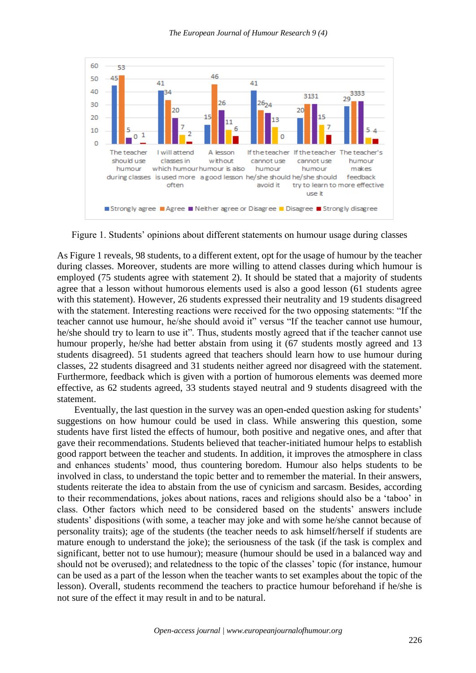

Figure 1. Students' opinions about different statements on humour usage during classes

As Figure 1 reveals, 98 students, to a different extent, opt for the usage of humour by the teacher during classes. Moreover, students are more willing to attend classes during which humour is employed (75 students agree with statement 2). It should be stated that a majority of students agree that a lesson without humorous elements used is also a good lesson (61 students agree with this statement). However, 26 students expressed their neutrality and 19 students disagreed with the statement. Interesting reactions were received for the two opposing statements: "If the teacher cannot use humour, he/she should avoid it" versus "If the teacher cannot use humour, he/she should try to learn to use it". Thus, students mostly agreed that if the teacher cannot use humour properly, he/she had better abstain from using it (67 students mostly agreed and 13 students disagreed). 51 students agreed that teachers should learn how to use humour during classes, 22 students disagreed and 31 students neither agreed nor disagreed with the statement. Furthermore, feedback which is given with a portion of humorous elements was deemed more effective, as 62 students agreed, 33 students stayed neutral and 9 students disagreed with the statement.

Eventually, the last question in the survey was an open-ended question asking for students' suggestions on how humour could be used in class. While answering this question, some students have first listed the effects of humour, both positive and negative ones, and after that gave their recommendations. Students believed that teacher-initiated humour helps to establish good rapport between the teacher and students. In addition, it improves the atmosphere in class and enhances students' mood, thus countering boredom. Humour also helps students to be involved in class, to understand the topic better and to remember the material. In their answers, students reiterate the idea to abstain from the use of cynicism and sarcasm. Besides, according to their recommendations, jokes about nations, races and religions should also be a 'taboo' in class. Other factors which need to be considered based on the students' answers include students' dispositions (with some, a teacher may joke and with some he/she cannot because of personality traits); age of the students (the teacher needs to ask himself/herself if students are mature enough to understand the joke); the seriousness of the task (if the task is complex and significant, better not to use humour); measure (humour should be used in a balanced way and should not be overused); and relatedness to the topic of the classes' topic (for instance, humour can be used as a part of the lesson when the teacher wants to set examples about the topic of the lesson). Overall, students recommend the teachers to practice humour beforehand if he/she is not sure of the effect it may result in and to be natural.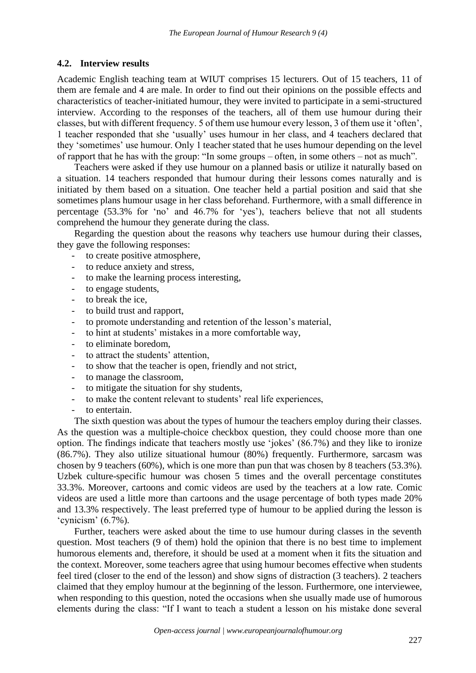#### **4.2. Interview results**

Academic English teaching team at WIUT comprises 15 lecturers. Out of 15 teachers, 11 of them are female and 4 are male. In order to find out their opinions on the possible effects and characteristics of teacher-initiated humour, they were invited to participate in a semi-structured interview. According to the responses of the teachers, all of them use humour during their classes, but with different frequency. 5 of them use humour every lesson, 3 of them use it 'often', 1 teacher responded that she 'usually' uses humour in her class, and 4 teachers declared that they 'sometimes' use humour. Only 1 teacher stated that he uses humour depending on the level of rapport that he has with the group: "In some groups – often, in some others – not as much".

Teachers were asked if they use humour on a planned basis or utilize it naturally based on a situation. 14 teachers responded that humour during their lessons comes naturally and is initiated by them based on a situation. One teacher held a partial position and said that she sometimes plans humour usage in her class beforehand. Furthermore, with a small difference in percentage (53.3% for 'no' and 46.7% for 'yes'), teachers believe that not all students comprehend the humour they generate during the class.

Regarding the question about the reasons why teachers use humour during their classes, they gave the following responses:

- to create positive atmosphere,
- to reduce anxiety and stress,
- to make the learning process interesting,
- to engage students,
- to break the ice.
- to build trust and rapport,
- to promote understanding and retention of the lesson's material,
- to hint at students' mistakes in a more comfortable way,
- to eliminate boredom.
- to attract the students' attention,
- to show that the teacher is open, friendly and not strict,
- to manage the classroom,
- to mitigate the situation for shy students,
- to make the content relevant to students' real life experiences,
- to entertain.

The sixth question was about the types of humour the teachers employ during their classes. As the question was a multiple-choice checkbox question, they could choose more than one option. The findings indicate that teachers mostly use 'jokes' (86.7%) and they like to ironize (86.7%). They also utilize situational humour (80%) frequently. Furthermore, sarcasm was chosen by 9 teachers (60%), which is one more than pun that was chosen by 8 teachers (53.3%). Uzbek culture-specific humour was chosen 5 times and the overall percentage constitutes 33.3%. Moreover, cartoons and comic videos are used by the teachers at a low rate. Comic videos are used a little more than cartoons and the usage percentage of both types made 20% and 13.3% respectively. The least preferred type of humour to be applied during the lesson is 'cynicism' (6.7%).

Further, teachers were asked about the time to use humour during classes in the seventh question. Most teachers (9 of them) hold the opinion that there is no best time to implement humorous elements and, therefore, it should be used at a moment when it fits the situation and the context. Moreover, some teachers agree that using humour becomes effective when students feel tired (closer to the end of the lesson) and show signs of distraction (3 teachers). 2 teachers claimed that they employ humour at the beginning of the lesson. Furthermore, one interviewee, when responding to this question, noted the occasions when she usually made use of humorous elements during the class: "If I want to teach a student a lesson on his mistake done several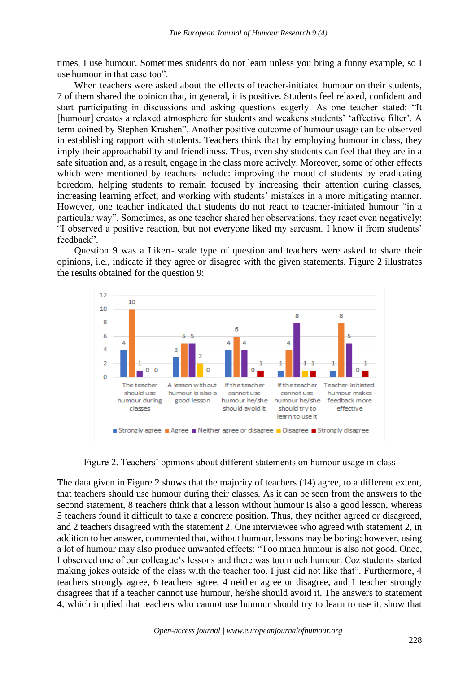times, I use humour. Sometimes students do not learn unless you bring a funny example, so I use humour in that case too".

When teachers were asked about the effects of teacher-initiated humour on their students, 7 of them shared the opinion that, in general, it is positive. Students feel relaxed, confident and start participating in discussions and asking questions eagerly. As one teacher stated: "It [humour] creates a relaxed atmosphere for students and weakens students' 'affective filter'. A term coined by Stephen Krashen". Another positive outcome of humour usage can be observed in establishing rapport with students. Teachers think that by employing humour in class, they imply their approachability and friendliness. Thus, even shy students can feel that they are in a safe situation and, as a result, engage in the class more actively. Moreover, some of other effects which were mentioned by teachers include: improving the mood of students by eradicating boredom, helping students to remain focused by increasing their attention during classes, increasing learning effect, and working with students' mistakes in a more mitigating manner. However, one teacher indicated that students do not react to teacher-initiated humour "in a particular way". Sometimes, as one teacher shared her observations, they react even negatively: "I observed a positive reaction, but not everyone liked my sarcasm. I know it from students' feedback".

Question 9 was a Likert- scale type of question and teachers were asked to share their opinions, i.e., indicate if they agree or disagree with the given statements. Figure 2 illustrates the results obtained for the question 9:



Figure 2. Teachers' opinions about different statements on humour usage in class

The data given in Figure 2 shows that the majority of teachers (14) agree, to a different extent, that teachers should use humour during their classes. As it can be seen from the answers to the second statement, 8 teachers think that a lesson without humour is also a good lesson, whereas 5 teachers found it difficult to take a concrete position. Thus, they neither agreed or disagreed, and 2 teachers disagreed with the statement 2. One interviewee who agreed with statement 2, in addition to her answer, commented that, without humour, lessons may be boring; however, using a lot of humour may also produce unwanted effects: "Too much humour is also not good. Once, I observed one of our colleague's lessons and there was too much humour. Coz students started making jokes outside of the class with the teacher too. I just did not like that". Furthermore, 4 teachers strongly agree, 6 teachers agree, 4 neither agree or disagree, and 1 teacher strongly disagrees that if a teacher cannot use humour, he/she should avoid it. The answers to statement 4, which implied that teachers who cannot use humour should try to learn to use it, show that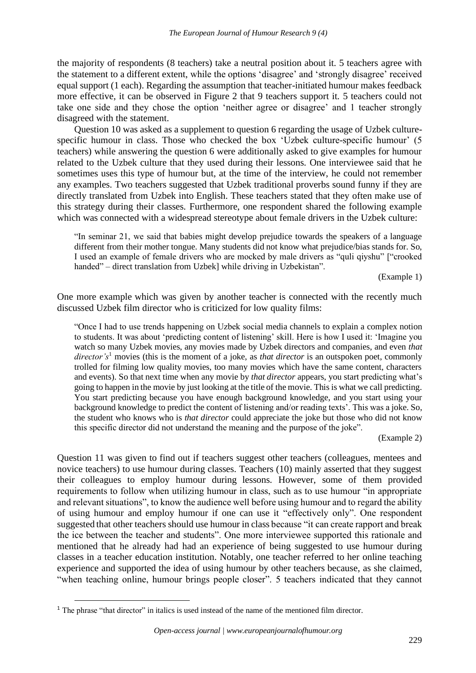the majority of respondents (8 teachers) take a neutral position about it. 5 teachers agree with the statement to a different extent, while the options 'disagree' and 'strongly disagree' received equal support (1 each). Regarding the assumption that teacher-initiated humour makes feedback more effective, it can be observed in Figure 2 that 9 teachers support it. 5 teachers could not take one side and they chose the option 'neither agree or disagree' and 1 teacher strongly disagreed with the statement.

Question 10 was asked as a supplement to question 6 regarding the usage of Uzbek culturespecific humour in class. Those who checked the box 'Uzbek culture-specific humour' (5 teachers) while answering the question 6 were additionally asked to give examples for humour related to the Uzbek culture that they used during their lessons. One interviewee said that he sometimes uses this type of humour but, at the time of the interview, he could not remember any examples. Two teachers suggested that Uzbek traditional proverbs sound funny if they are directly translated from Uzbek into English. These teachers stated that they often make use of this strategy during their classes. Furthermore, one respondent shared the following example which was connected with a widespread stereotype about female drivers in the Uzbek culture:

"In seminar 21, we said that babies might develop prejudice towards the speakers of a language different from their mother tongue. Many students did not know what prejudice/bias stands for. So, I used an example of female drivers who are mocked by male drivers as "quli qiyshu" ["crooked handed" – direct translation from Uzbek] while driving in Uzbekistan".

(Example 1)

One more example which was given by another teacher is connected with the recently much discussed Uzbek film director who is criticized for low quality films:

"Once I had to use trends happening on Uzbek social media channels to explain a complex notion to students. It was about 'predicting content of listening' skill. Here is how I used it: 'Imagine you watch so many Uzbek movies, any movies made by Uzbek directors and companies, and even *that director's*<sup>1</sup> movies (this is the moment of a joke, as *that director* is an outspoken poet, commonly trolled for filming low quality movies, too many movies which have the same content, characters and events). So that next time when any movie by *that director* appears, you start predicting what's going to happen in the movie by just looking at the title of the movie. This is what we call predicting. You start predicting because you have enough background knowledge, and you start using your background knowledge to predict the content of listening and/or reading texts'. This was a joke. So, the student who knows who is *that director* could appreciate the joke but those who did not know this specific director did not understand the meaning and the purpose of the joke".

(Example 2)

Question 11 was given to find out if teachers suggest other teachers (colleagues, mentees and novice teachers) to use humour during classes. Teachers (10) mainly asserted that they suggest their colleagues to employ humour during lessons. However, some of them provided requirements to follow when utilizing humour in class, such as to use humour "in appropriate and relevant situations", to know the audience well before using humour and to regard the ability of using humour and employ humour if one can use it "effectively only". One respondent suggested that other teachers should use humour in class because "it can create rapport and break the ice between the teacher and students". One more interviewee supported this rationale and mentioned that he already had had an experience of being suggested to use humour during classes in a teacher education institution. Notably, one teacher referred to her online teaching experience and supported the idea of using humour by other teachers because, as she claimed, "when teaching online, humour brings people closer". 5 teachers indicated that they cannot

 $<sup>1</sup>$  The phrase "that director" in italics is used instead of the name of the mentioned film director.</sup>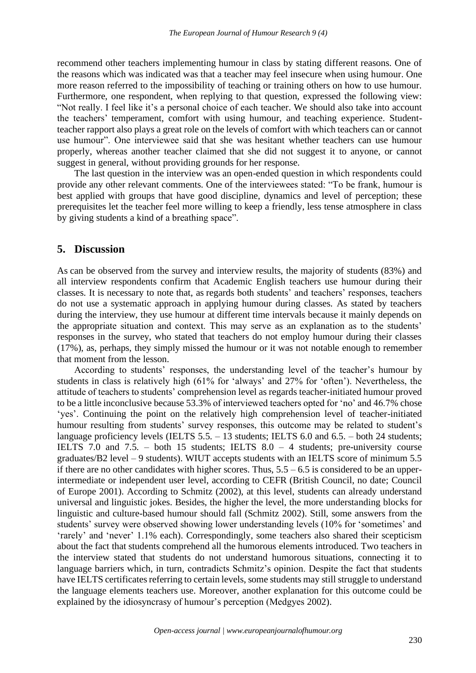recommend other teachers implementing humour in class by stating different reasons. One of the reasons which was indicated was that a teacher may feel insecure when using humour. One more reason referred to the impossibility of teaching or training others on how to use humour. Furthermore, one respondent, when replying to that question, expressed the following view: "Not really. I feel like it's a personal choice of each teacher. We should also take into account the teachers' temperament, comfort with using humour, and teaching experience. Studentteacher rapport also plays a great role on the levels of comfort with which teachers can or cannot use humour". One interviewee said that she was hesitant whether teachers can use humour properly, whereas another teacher claimed that she did not suggest it to anyone, or cannot suggest in general, without providing grounds for her response.

The last question in the interview was an open-ended question in which respondents could provide any other relevant comments. One of the interviewees stated: "To be frank, humour is best applied with groups that have good discipline, dynamics and level of perception; these prerequisites let the teacher feel more willing to keep a friendly, less tense atmosphere in class by giving students a kind of a breathing space".

## **5. Discussion**

As can be observed from the survey and interview results, the majority of students (83%) and all interview respondents confirm that Academic English teachers use humour during their classes. It is necessary to note that, as regards both students' and teachers' responses, teachers do not use a systematic approach in applying humour during classes. As stated by teachers during the interview, they use humour at different time intervals because it mainly depends on the appropriate situation and context. This may serve as an explanation as to the students' responses in the survey, who stated that teachers do not employ humour during their classes (17%), as, perhaps, they simply missed the humour or it was not notable enough to remember that moment from the lesson.

According to students' responses, the understanding level of the teacher's humour by students in class is relatively high (61% for 'always' and 27% for 'often'). Nevertheless, the attitude of teachers to students' comprehension level as regards teacher-initiated humour proved to be a little inconclusive because 53.3% of interviewed teachers opted for 'no' and 46.7% chose 'yes'. Continuing the point on the relatively high comprehension level of teacher-initiated humour resulting from students' survey responses, this outcome may be related to student's language proficiency levels (IELTS 5.5. – 13 students; IELTS 6.0 and 6.5. – both 24 students; IELTS 7.0 and 7.5. – both 15 students; IELTS 8.0 – 4 students; pre-university course graduates/B2 level – 9 students). WIUT accepts students with an IELTS score of minimum 5.5 if there are no other candidates with higher scores. Thus,  $5.5 - 6.5$  is considered to be an upperintermediate or independent user level, according to CEFR (British Council, no date; Council of Europe 2001). According to Schmitz (2002), at this level, students can already understand universal and linguistic jokes. Besides, the higher the level, the more understanding blocks for linguistic and culture-based humour should fall (Schmitz 2002). Still, some answers from the students' survey were observed showing lower understanding levels (10% for 'sometimes' and 'rarely' and 'never' 1.1% each). Correspondingly, some teachers also shared their scepticism about the fact that students comprehend all the humorous elements introduced. Two teachers in the interview stated that students do not understand humorous situations, connecting it to language barriers which, in turn, contradicts Schmitz's opinion. Despite the fact that students have IELTS certificates referring to certain levels, some students may still struggle to understand the language elements teachers use. Moreover, another explanation for this outcome could be explained by the idiosyncrasy of humour's perception (Medgyes 2002).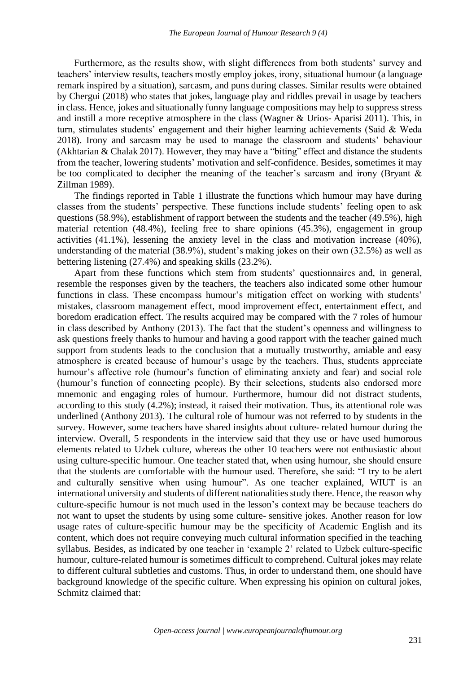Furthermore, as the results show, with slight differences from both students' survey and teachers' interview results, teachers mostly employ jokes, irony, situational humour (a language remark inspired by a situation), sarcasm, and puns during classes. Similar results were obtained by Chergui (2018) who states that jokes, language play and riddles prevail in usage by teachers in class. Hence, jokes and situationally funny language compositions may help to suppress stress and instill a more receptive atmosphere in the class (Wagner & Urios- Aparisi 2011). This, in turn, stimulates students' engagement and their higher learning achievements (Said & Weda 2018). Irony and sarcasm may be used to manage the classroom and students' behaviour (Akhtarian & Chalak 2017). However, they may have a "biting" effect and distance the students from the teacher, lowering students' motivation and self-confidence. Besides, sometimes it may be too complicated to decipher the meaning of the teacher's sarcasm and irony (Bryant & Zillman 1989).

The findings reported in Table 1 illustrate the functions which humour may have during classes from the students' perspective. These functions include students' feeling open to ask questions (58.9%), establishment of rapport between the students and the teacher (49.5%), high material retention (48.4%), feeling free to share opinions (45.3%), engagement in group activities (41.1%), lessening the anxiety level in the class and motivation increase (40%), understanding of the material (38.9%), student's making jokes on their own (32.5%) as well as bettering listening (27.4%) and speaking skills (23.2%).

Apart from these functions which stem from students' questionnaires and, in general, resemble the responses given by the teachers, the teachers also indicated some other humour functions in class. These encompass humour's mitigation effect on working with students' mistakes, classroom management effect, mood improvement effect, entertainment effect, and boredom eradication effect. The results acquired may be compared with the 7 roles of humour in class described by Anthony (2013). The fact that the student's openness and willingness to ask questions freely thanks to humour and having a good rapport with the teacher gained much support from students leads to the conclusion that a mutually trustworthy, amiable and easy atmosphere is created because of humour's usage by the teachers. Thus, students appreciate humour's affective role (humour's function of eliminating anxiety and fear) and social role (humour's function of connecting people). By their selections, students also endorsed more mnemonic and engaging roles of humour. Furthermore, humour did not distract students, according to this study (4.2%); instead, it raised their motivation. Thus, its attentional role was underlined (Anthony 2013). The cultural role of humour was not referred to by students in the survey. However, some teachers have shared insights about culture- related humour during the interview. Overall, 5 respondents in the interview said that they use or have used humorous elements related to Uzbek culture, whereas the other 10 teachers were not enthusiastic about using culture-specific humour. One teacher stated that, when using humour, she should ensure that the students are comfortable with the humour used. Therefore, she said: "I try to be alert and culturally sensitive when using humour". As one teacher explained, WIUT is an international university and students of different nationalities study there. Hence, the reason why culture-specific humour is not much used in the lesson's context may be because teachers do not want to upset the students by using some culture- sensitive jokes. Another reason for low usage rates of culture-specific humour may be the specificity of Academic English and its content, which does not require conveying much cultural information specified in the teaching syllabus. Besides, as indicated by one teacher in 'example 2' related to Uzbek culture-specific humour, culture-related humour is sometimes difficult to comprehend. Cultural jokes may relate to different cultural subtleties and customs. Thus, in order to understand them, one should have background knowledge of the specific culture. When expressing his opinion on cultural jokes, Schmitz claimed that: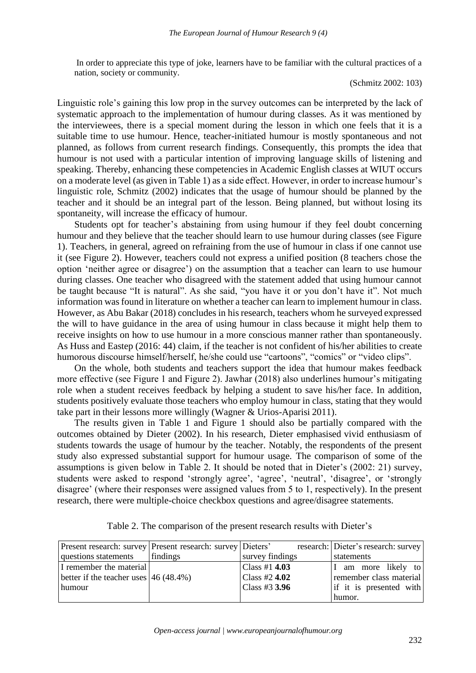In order to appreciate this type of joke, learners have to be familiar with the cultural practices of a nation, society or community.

(Schmitz 2002: 103)

Linguistic role's gaining this low prop in the survey outcomes can be interpreted by the lack of systematic approach to the implementation of humour during classes. As it was mentioned by the interviewees, there is a special moment during the lesson in which one feels that it is a suitable time to use humour. Hence, teacher-initiated humour is mostly spontaneous and not planned, as follows from current research findings. Consequently, this prompts the idea that humour is not used with a particular intention of improving language skills of listening and speaking. Thereby, enhancing these competencies in Academic English classes at WIUT occurs on a moderate level (as given in Table 1) as a side effect. However, in order to increase humour's linguistic role, Schmitz (2002) indicates that the usage of humour should be planned by the teacher and it should be an integral part of the lesson. Being planned, but without losing its spontaneity, will increase the efficacy of humour.

Students opt for teacher's abstaining from using humour if they feel doubt concerning humour and they believe that the teacher should learn to use humour during classes (see Figure 1). Teachers, in general, agreed on refraining from the use of humour in class if one cannot use it (see Figure 2). However, teachers could not express a unified position (8 teachers chose the option 'neither agree or disagree') on the assumption that a teacher can learn to use humour during classes. One teacher who disagreed with the statement added that using humour cannot be taught because "It is natural". As she said, "you have it or you don't have it". Not much information was found in literature on whether a teacher can learn to implement humour in class. However, as Abu Bakar (2018) concludes in his research, teachers whom he surveyed expressed the will to have guidance in the area of using humour in class because it might help them to receive insights on how to use humour in a more conscious manner rather than spontaneously. As Huss and Eastep (2016: 44) claim, if the teacher is not confident of his/her abilities to create humorous discourse himself/herself, he/she could use "cartoons", "comics" or "video clips".

On the whole, both students and teachers support the idea that humour makes feedback more effective (see Figure 1 and Figure 2). Jawhar (2018) also underlines humour's mitigating role when a student receives feedback by helping a student to save his/her face. In addition, students positively evaluate those teachers who employ humour in class, stating that they would take part in their lessons more willingly (Wagner & Urios-Aparisi 2011).

The results given in Table 1 and Figure 1 should also be partially compared with the outcomes obtained by Dieter (2002). In his research, Dieter emphasised vivid enthusiasm of students towards the usage of humour by the teacher. Notably, the respondents of the present study also expressed substantial support for humour usage. The comparison of some of the assumptions is given below in Table 2. It should be noted that in Dieter's (2002: 21) survey, students were asked to respond 'strongly agree', 'agree', 'neutral', 'disagree', or 'strongly disagree' (where their responses were assigned values from 5 to 1, respectively). In the present research, there were multiple-choice checkbox questions and agree/disagree statements.

|                                          | Present research: survey Present research: survey Dieters' |                 | research: Dieter's research: survey |
|------------------------------------------|------------------------------------------------------------|-----------------|-------------------------------------|
| questions statements                     | findings                                                   | survey findings | statements                          |
| I remember the material                  |                                                            | Class #1 $4.03$ | I am more likely to                 |
| better if the teacher uses $(46 (48.4%)$ |                                                            | Class #2 $4.02$ | remember class material             |
| humour                                   |                                                            | Class #3 $3.96$ | if it is presented with             |
|                                          |                                                            |                 | humor.                              |

Table 2. The comparison of the present research results with Dieter's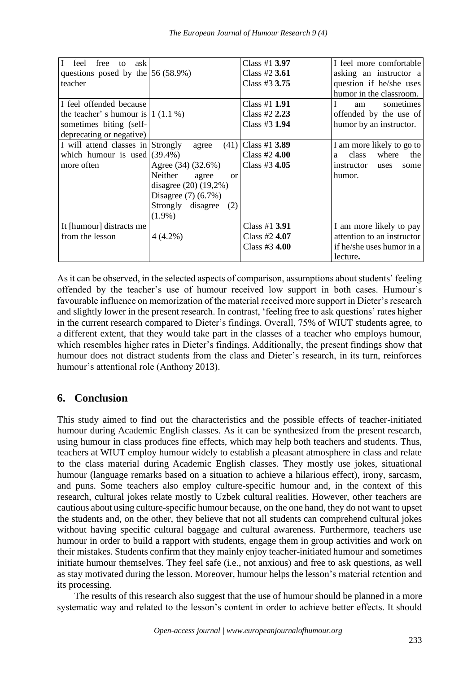| $\mathbf I$<br>ask<br>feel<br>free<br>to |                           | Class #1 3.97        | I feel more comfortable    |
|------------------------------------------|---------------------------|----------------------|----------------------------|
| questions posed by the $ 56 (58.9%)$     |                           | Class #2 3.61        | asking an instructor a     |
| teacher                                  |                           | Class #3 3.75        | question if he/she uses    |
|                                          |                           |                      | humor in the classroom.    |
| I feel offended because                  |                           | Class #1 <b>1.91</b> | sometimes<br>am            |
| the teacher' s humour is $(1.1\%)$       |                           | Class #2 $2.23$      | offended by the use of     |
| sometimes biting (self-                  |                           | Class #3 1.94        | humor by an instructor.    |
| deprecating or negative)                 |                           |                      |                            |
| I will attend classes in Strongly        | (41)<br>agree             | Class #1 $3.89$      | I am more likely to go to  |
| which humour is used $(39.4\%)$          |                           | Class #2 $4.00$      | where<br>class<br>the<br>a |
| more often                               | Agree (34) (32.6%)        | Class #3 4.05        | instructor<br>uses<br>some |
|                                          | Neither<br>agree<br>or    |                      | humor.                     |
|                                          | disagree $(20)$ $(19,2%)$ |                      |                            |
|                                          | Disagree $(7)$ $(6.7%)$   |                      |                            |
|                                          | Strongly disagree<br>(2)  |                      |                            |
|                                          | $(1.9\%)$                 |                      |                            |
| It [humour] distracts me                 |                           | Class #1 3.91        | I am more likely to pay    |
| from the lesson                          | $4(4.2\%)$                | Class #2 $4.07$      | attention to an instructor |
|                                          |                           | Class #3 4.00        | if he/she uses humor in a  |
|                                          |                           |                      | lecture.                   |
|                                          |                           |                      |                            |

As it can be observed, in the selected aspects of comparison, assumptions about students' feeling offended by the teacher's use of humour received low support in both cases. Humour's favourable influence on memorization of the material received more support in Dieter's research and slightly lower in the present research. In contrast, 'feeling free to ask questions' rates higher in the current research compared to Dieter's findings. Overall, 75% of WIUT students agree, to a different extent, that they would take part in the classes of a teacher who employs humour, which resembles higher rates in Dieter's findings. Additionally, the present findings show that humour does not distract students from the class and Dieter's research, in its turn, reinforces humour's attentional role (Anthony 2013).

# **6. Conclusion**

This study aimed to find out the characteristics and the possible effects of teacher-initiated humour during Academic English classes. As it can be synthesized from the present research, using humour in class produces fine effects, which may help both teachers and students. Thus, teachers at WIUT employ humour widely to establish a pleasant atmosphere in class and relate to the class material during Academic English classes. They mostly use jokes, situational humour (language remarks based on a situation to achieve a hilarious effect), irony, sarcasm, and puns. Some teachers also employ culture-specific humour and, in the context of this research, cultural jokes relate mostly to Uzbek cultural realities. However, other teachers are cautious about using culture-specific humour because, on the one hand, they do not want to upset the students and, on the other, they believe that not all students can comprehend cultural jokes without having specific cultural baggage and cultural awareness. Furthermore, teachers use humour in order to build a rapport with students, engage them in group activities and work on their mistakes. Students confirm that they mainly enjoy teacher-initiated humour and sometimes initiate humour themselves. They feel safe (i.e., not anxious) and free to ask questions, as well as stay motivated during the lesson. Moreover, humour helps the lesson's material retention and its processing.

The results of this research also suggest that the use of humour should be planned in a more systematic way and related to the lesson's content in order to achieve better effects. It should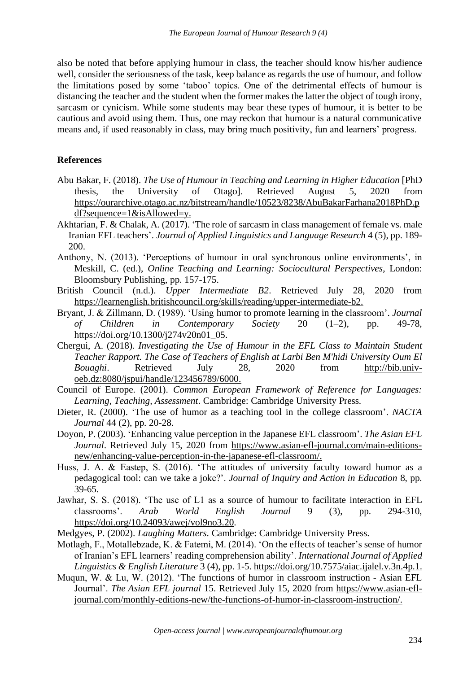also be noted that before applying humour in class, the teacher should know his/her audience well, consider the seriousness of the task, keep balance as regards the use of humour, and follow the limitations posed by some 'taboo' topics. One of the detrimental effects of humour is distancing the teacher and the student when the former makes the latter the object of tough irony, sarcasm or cynicism. While some students may bear these types of humour, it is better to be cautious and avoid using them. Thus, one may reckon that humour is a natural communicative means and, if used reasonably in class, may bring much positivity, fun and learners' progress.

#### **References**

- Abu Bakar, F. (2018). *The Use of Humour in Teaching and Learning in Higher Education* [PhD thesis, the University of Otago]. Retrieved August 5, 2020 from [https://ourarchive.otago.ac.nz/bitstream/handle/10523/8238/AbuBakarFarhana2018PhD.p](https://ourarchive.otago.ac.nz/bitstream/handle/10523/8238/AbuBakarFarhana2018PhD.pdf?sequence=1&isAllowed=y) [df?sequence=1&isAllowed=y.](https://ourarchive.otago.ac.nz/bitstream/handle/10523/8238/AbuBakarFarhana2018PhD.pdf?sequence=1&isAllowed=y)
- Akhtarian, F. & Chalak, A. (2017). 'The role of sarcasm in class management of female vs. male Iranian EFL teachers'. *Journal of Applied Linguistics and Language Research* 4 (5), pp. 189- 200.
- Anthony, N. (2013). 'Perceptions of humour in oral synchronous online environments', in Meskill, C. (ed.), *Online Teaching and Learning: Sociocultural Perspectives*, London: Bloomsbury Publishing, pp. 157-175.
- British Council (n.d.). *Upper Intermediate B2*. Retrieved July 28, 2020 from [https://learnenglish.britishcouncil.org/skills/reading/upper-intermediate-b2.](https://learnenglish.britishcouncil.org/skills/reading/upper-intermediate-b2)
- Bryant, J. & Zillmann, D. (1989). 'Using humor to promote learning in the classroom'. *Journal of Children in Contemporary Society* 20 (1–2), pp. 49-78, [https://doi.org/10.1300/j274v20n01\\_05.](https://doi.org/10.1300/j274v20n01_05)
- Chergui, A. (2018). *Investigating the Use of Humour in the EFL Class to Maintain Student Teacher Rapport. The Case of Teachers of English at Larbi Ben M'hidi University Oum El Bouaghi*. Retrieved July 28, 2020 from [http://bib.univ](http://bib.univ-oeb.dz:8080/jspui/handle/123456789/6000)[oeb.dz:8080/jspui/handle/123456789/6000.](http://bib.univ-oeb.dz:8080/jspui/handle/123456789/6000)
- Council of Europe. (2001). *Common European Framework of Reference for Languages: Learning, Teaching, Assessment*. Cambridge: Cambridge University Press.
- Dieter, R. (2000). 'The use of humor as a teaching tool in the college classroom'. *NACTA Journal* 44 (2), pp. 20-28.
- Doyon, P. (2003). 'Enhancing value perception in the Japanese EFL classroom'. *The Asian EFL Journal*. Retrieved July 15, 2020 from [https://www.asian-efl-journal.com/main-editions](https://www.asian-efl-journal.com/main-editions-new/enhancing-value-perception-in-the-japanese-efl-classroom/)[new/enhancing-value-perception-in-the-japanese-efl-classroom/.](https://www.asian-efl-journal.com/main-editions-new/enhancing-value-perception-in-the-japanese-efl-classroom/)
- Huss, J. A. & Eastep, S. (2016). 'The attitudes of university faculty toward humor as a pedagogical tool: can we take a joke?'. *Journal of Inquiry and Action in Education* 8, pp. 39-65.
- Jawhar, S. S. (2018). 'The use of L1 as a source of humour to facilitate interaction in EFL classrooms'. *Arab World English Journal* 9 (3), pp. 294-310, [https://doi.org/10.24093/awej/vol9no3.20.](https://doi.org/10.24093/awej/vol9no3.20)
- Medgyes, P. (2002). *Laughing Matters*. Cambridge: Cambridge University Press.
- Motlagh, F., Motallebzade, K. & Fatemi, M. (2014). 'On the effects of teacher's sense of humor of Iranian's EFL learners' reading comprehension ability'. *International Journal of Applied Linguistics & English Literature* 3 (4), pp. 1-5. [https://doi.org/10.7575/aiac.ijalel.v.3n.4p.1.](https://doi.org/10.7575/aiac.ijalel.v.3n.4p.1)
- Muqun, W. & Lu, W. (2012). 'The functions of humor in classroom instruction Asian EFL Journal'. *The Asian EFL journal* 15. Retrieved July 15, 2020 from [https://www.asian-efl](https://www.asian-efl-journal.com/monthly-editions-new/the-functions-of-humor-in-classroom-instruction/)[journal.com/monthly-editions-new/the-functions-of-humor-in-classroom-instruction/.](https://www.asian-efl-journal.com/monthly-editions-new/the-functions-of-humor-in-classroom-instruction/)